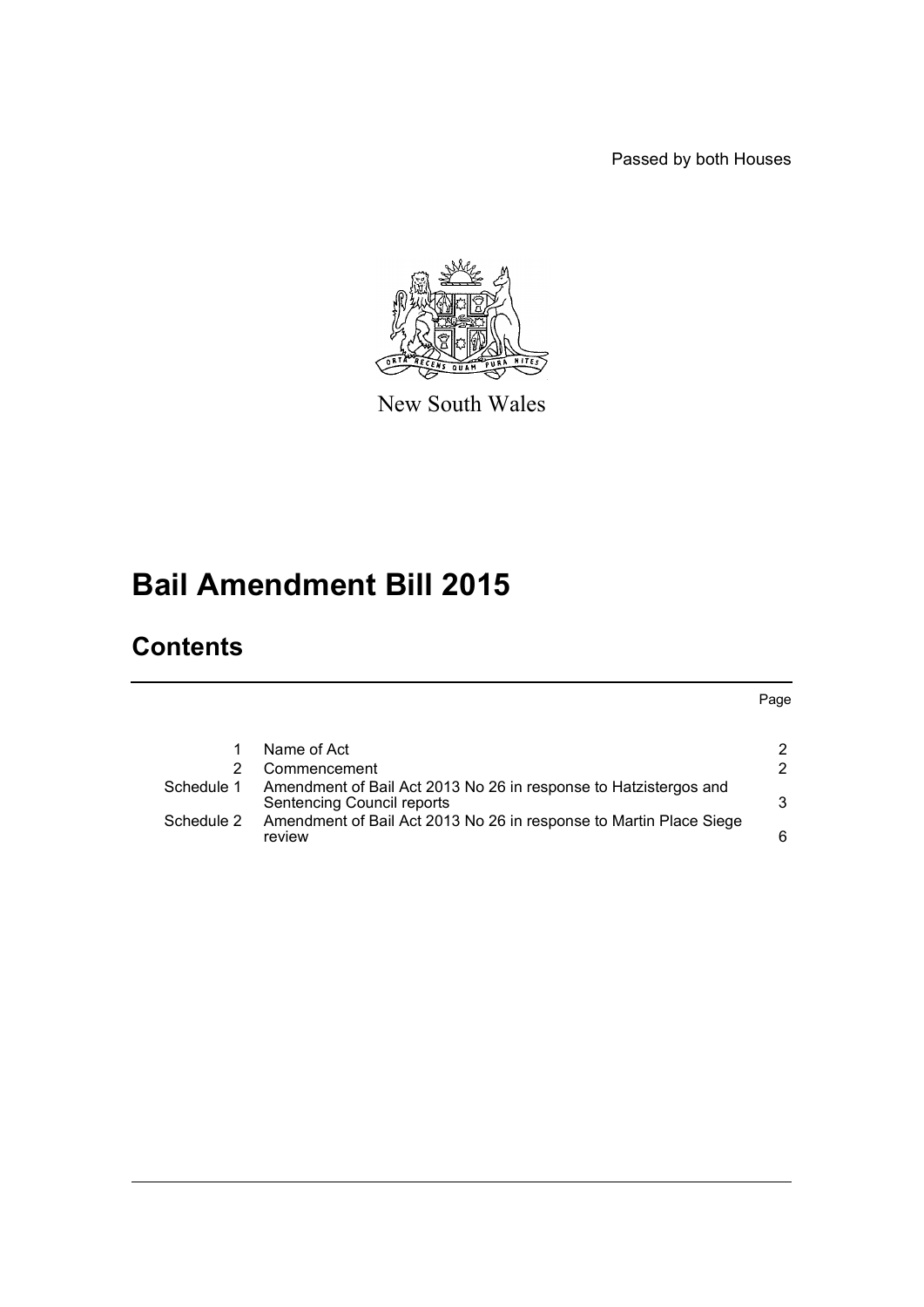Passed by both Houses



New South Wales

# **Bail Amendment Bill 2015**

## **Contents**

|            | Name of Act                                                                                    | 2 |
|------------|------------------------------------------------------------------------------------------------|---|
|            | Commencement                                                                                   | 2 |
| Schedule 1 | Amendment of Bail Act 2013 No 26 in response to Hatzistergos and<br>Sentencing Council reports | 3 |
| Schedule 2 | Amendment of Bail Act 2013 No 26 in response to Martin Place Siege<br>review                   | 6 |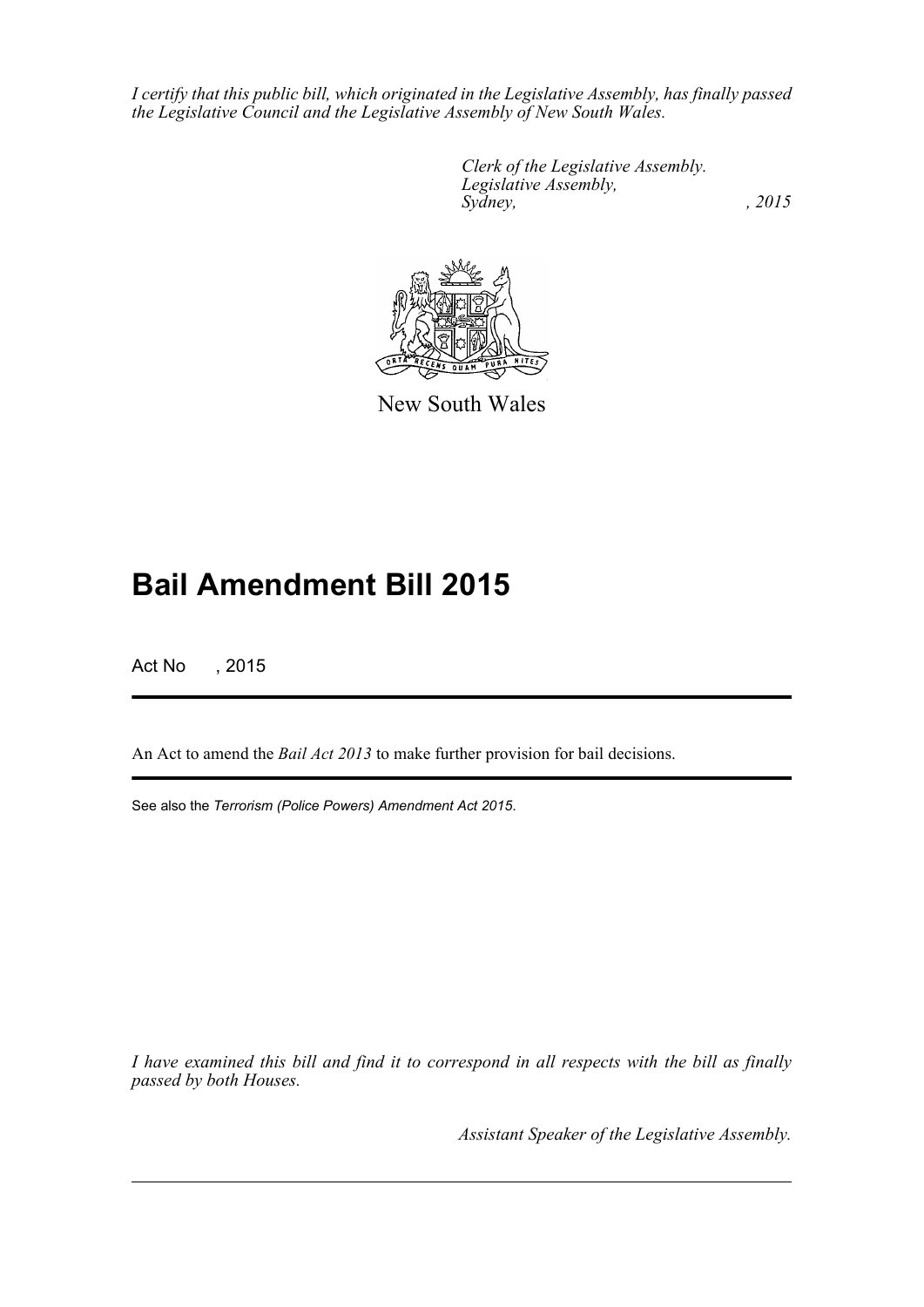*I certify that this public bill, which originated in the Legislative Assembly, has finally passed the Legislative Council and the Legislative Assembly of New South Wales.*

> *Clerk of the Legislative Assembly. Legislative Assembly, Sydney,* , 2015



New South Wales

## **Bail Amendment Bill 2015**

Act No , 2015

An Act to amend the *Bail Act 2013* to make further provision for bail decisions.

See also the *Terrorism (Police Powers) Amendment Act 2015*.

*I have examined this bill and find it to correspond in all respects with the bill as finally passed by both Houses.*

*Assistant Speaker of the Legislative Assembly.*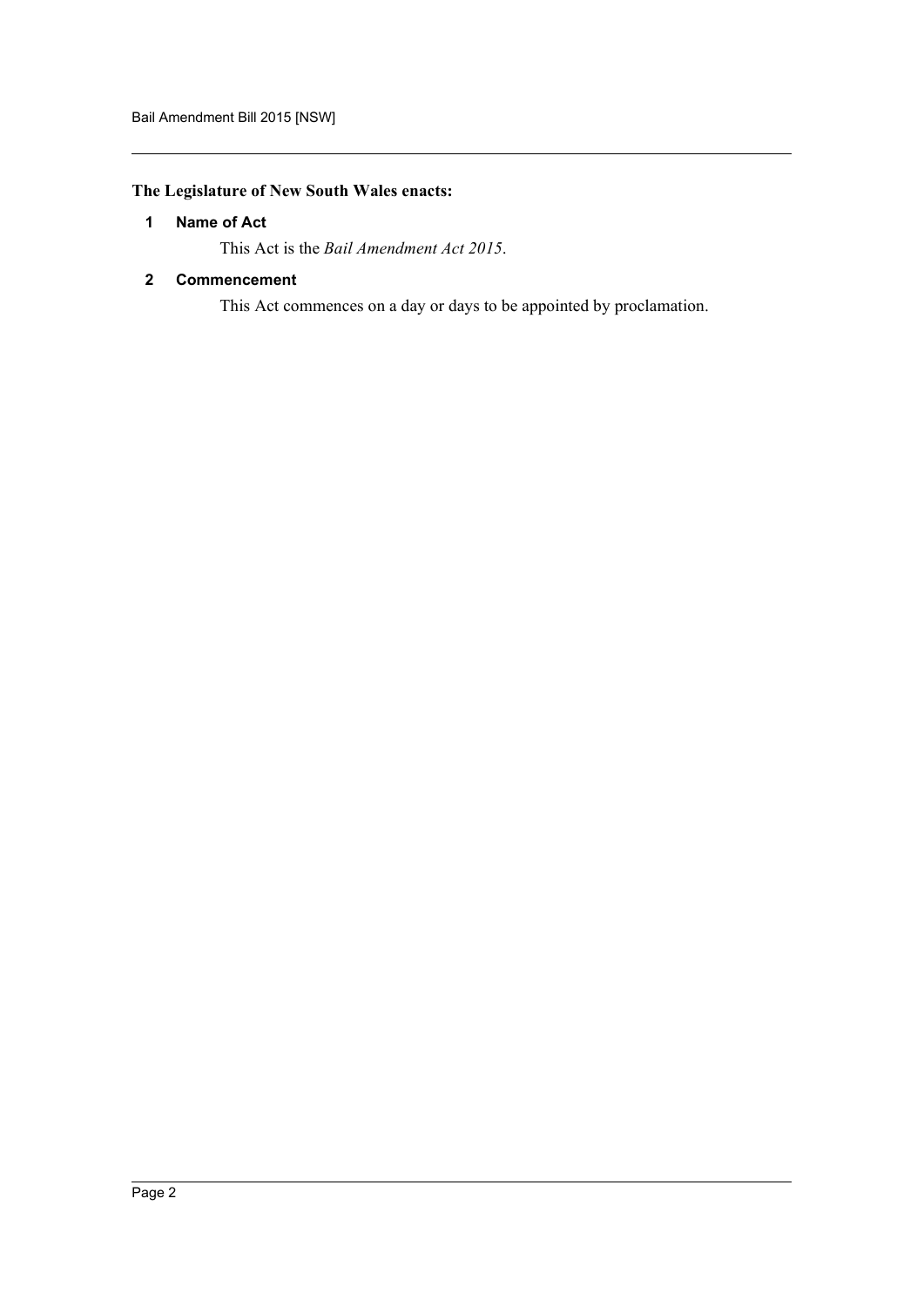### <span id="page-2-0"></span>**The Legislature of New South Wales enacts:**

#### **1 Name of Act**

This Act is the *Bail Amendment Act 2015*.

#### <span id="page-2-1"></span>**2 Commencement**

This Act commences on a day or days to be appointed by proclamation.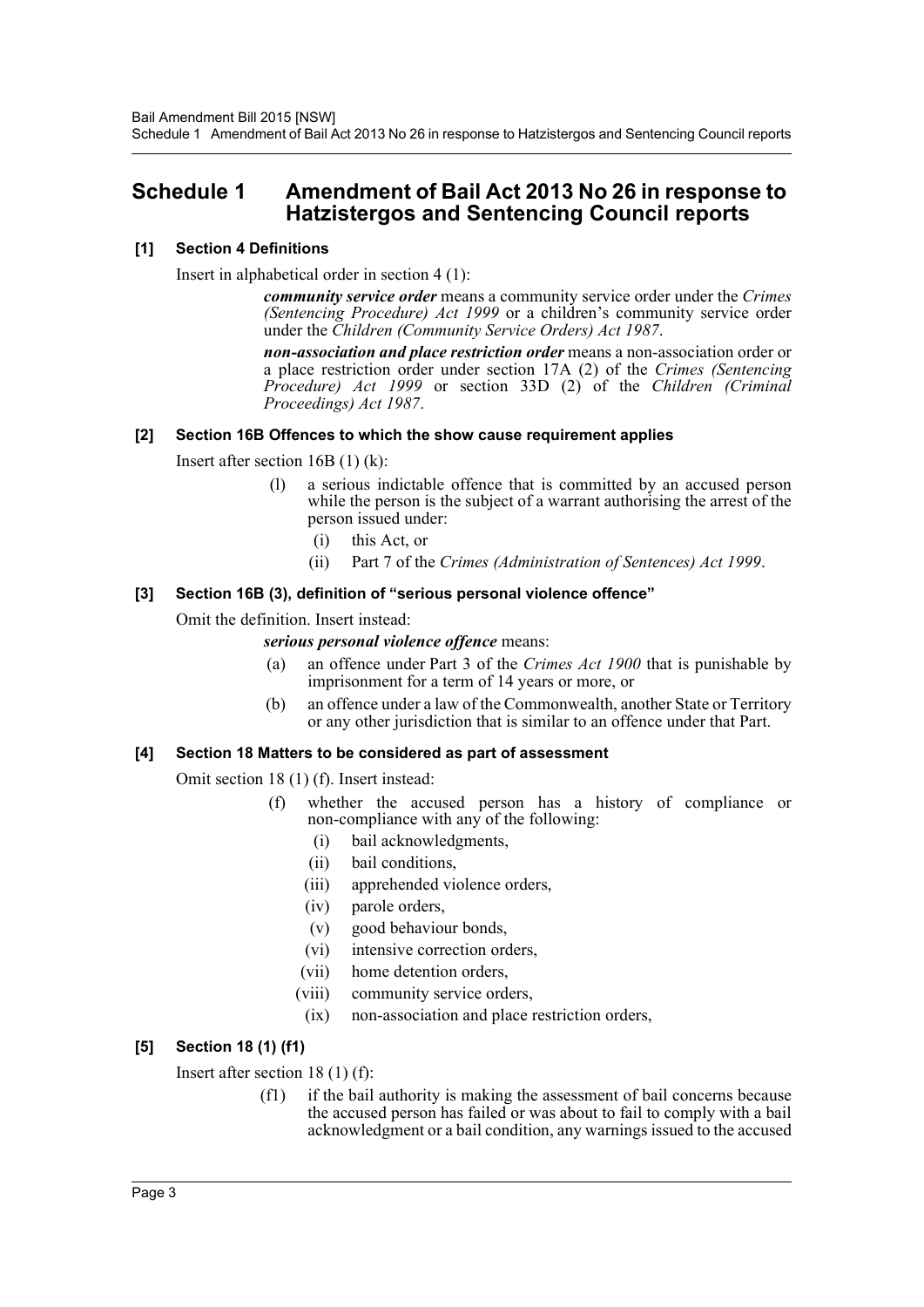## <span id="page-3-0"></span>**Schedule 1 Amendment of Bail Act 2013 No 26 in response to Hatzistergos and Sentencing Council reports**

#### **[1] Section 4 Definitions**

Insert in alphabetical order in section 4 (1):

*community service order* means a community service order under the *Crimes (Sentencing Procedure) Act 1999* or a children's community service order under the *Children (Community Service Orders) Act 1987*.

*non-association and place restriction order* means a non-association order or a place restriction order under section 17A (2) of the *Crimes (Sentencing Procedure) Act 1999* or section 33D (2) of the *Children (Criminal Proceedings) Act 1987*.

#### **[2] Section 16B Offences to which the show cause requirement applies**

Insert after section 16B (1) (k):

- (l) a serious indictable offence that is committed by an accused person while the person is the subject of a warrant authorising the arrest of the person issued under:
	- (i) this Act, or
	- (ii) Part 7 of the *Crimes (Administration of Sentences) Act 1999*.

#### **[3] Section 16B (3), definition of "serious personal violence offence"**

Omit the definition. Insert instead:

#### *serious personal violence offence* means:

- (a) an offence under Part 3 of the *Crimes Act 1900* that is punishable by imprisonment for a term of 14 years or more, or
- (b) an offence under a law of the Commonwealth, another State or Territory or any other jurisdiction that is similar to an offence under that Part.

#### **[4] Section 18 Matters to be considered as part of assessment**

Omit section 18 (1) (f). Insert instead:

- (f) whether the accused person has a history of compliance or non-compliance with any of the following:
	- (i) bail acknowledgments,
	- (ii) bail conditions,
	- (iii) apprehended violence orders,
	- (iv) parole orders,
	- (v) good behaviour bonds,
	- (vi) intensive correction orders,
	- (vii) home detention orders,
	- (viii) community service orders,
	- (ix) non-association and place restriction orders,

### **[5] Section 18 (1) (f1)**

Insert after section 18 (1) (f):

(f1) if the bail authority is making the assessment of bail concerns because the accused person has failed or was about to fail to comply with a bail acknowledgment or a bail condition, any warnings issued to the accused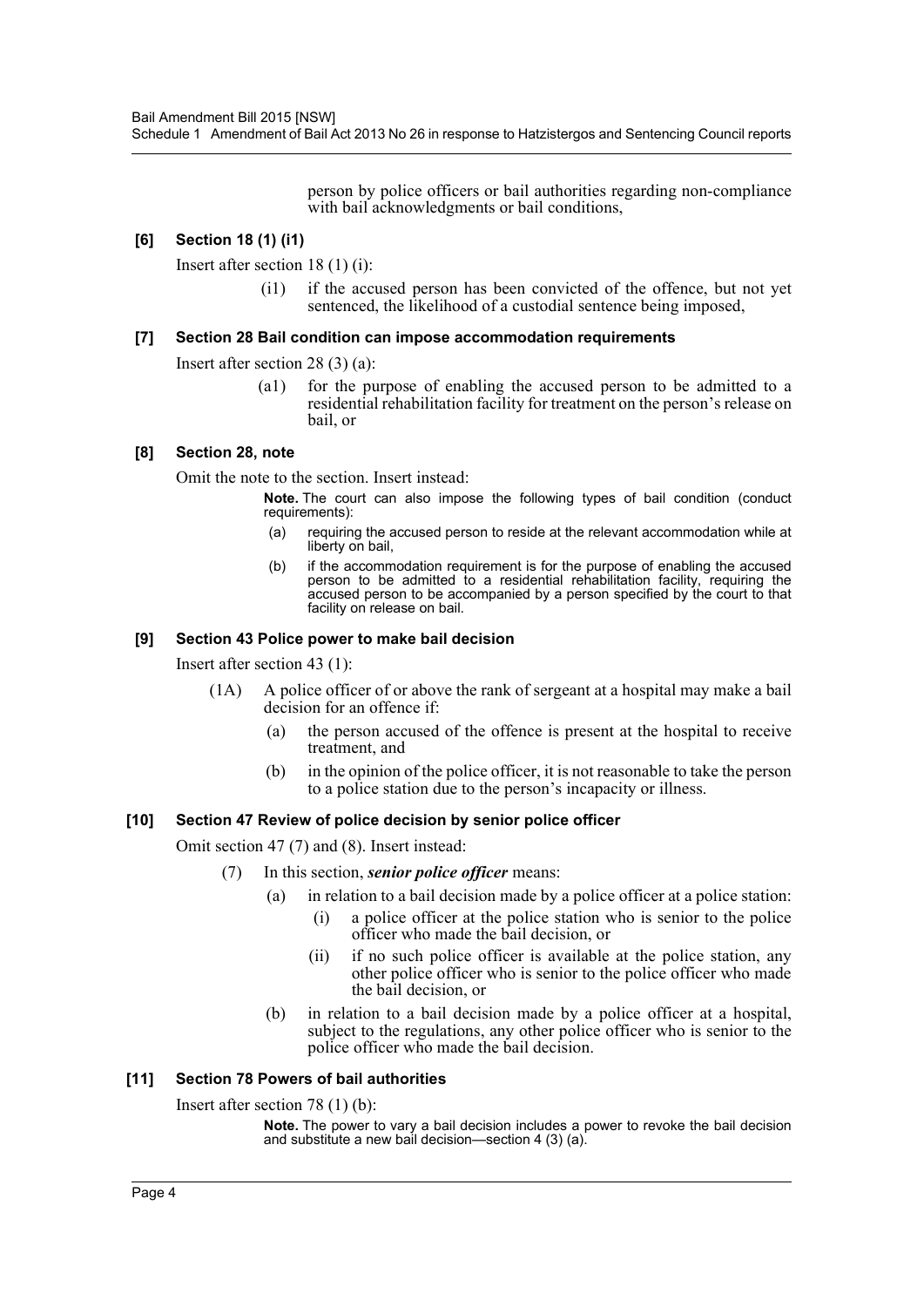person by police officers or bail authorities regarding non-compliance with bail acknowledgments or bail conditions,

#### **[6] Section 18 (1) (i1)**

Insert after section 18 (1) (i):

(i1) if the accused person has been convicted of the offence, but not yet sentenced, the likelihood of a custodial sentence being imposed,

#### **[7] Section 28 Bail condition can impose accommodation requirements**

Insert after section 28 (3) (a):

(a1) for the purpose of enabling the accused person to be admitted to a residential rehabilitation facility for treatment on the person's release on bail, or

#### **[8] Section 28, note**

Omit the note to the section. Insert instead:

**Note.** The court can also impose the following types of bail condition (conduct requirements):

- (a) requiring the accused person to reside at the relevant accommodation while at liberty on bail,
- (b) if the accommodation requirement is for the purpose of enabling the accused person to be admitted to a residential rehabilitation facility, requiring the accused person to be accompanied by a person specified by the court to that facility on release on bail.

#### **[9] Section 43 Police power to make bail decision**

Insert after section 43 (1):

- (1A) A police officer of or above the rank of sergeant at a hospital may make a bail decision for an offence if:
	- (a) the person accused of the offence is present at the hospital to receive treatment, and
	- (b) in the opinion of the police officer, it is not reasonable to take the person to a police station due to the person's incapacity or illness.

#### **[10] Section 47 Review of police decision by senior police officer**

Omit section 47 (7) and (8). Insert instead:

- (7) In this section, *senior police officer* means:
	- (a) in relation to a bail decision made by a police officer at a police station:
		- (i) a police officer at the police station who is senior to the police officer who made the bail decision, or
		- (ii) if no such police officer is available at the police station, any other police officer who is senior to the police officer who made the bail decision, or
	- (b) in relation to a bail decision made by a police officer at a hospital, subject to the regulations, any other police officer who is senior to the police officer who made the bail decision.

#### **[11] Section 78 Powers of bail authorities**

Insert after section 78 (1) (b):

**Note.** The power to vary a bail decision includes a power to revoke the bail decision and substitute a new bail decision—section 4 (3) (a).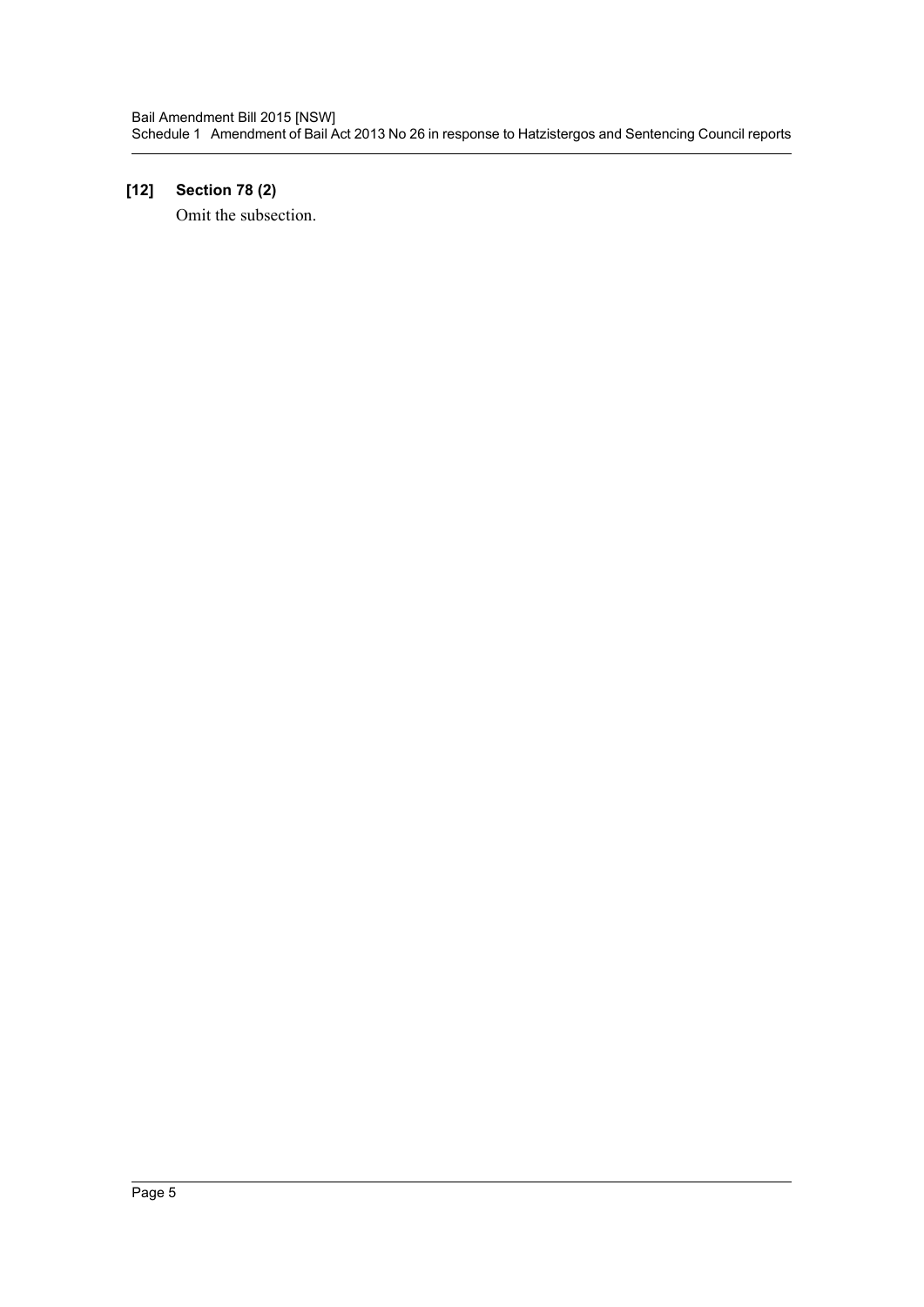## **[12] Section 78 (2)**

Omit the subsection.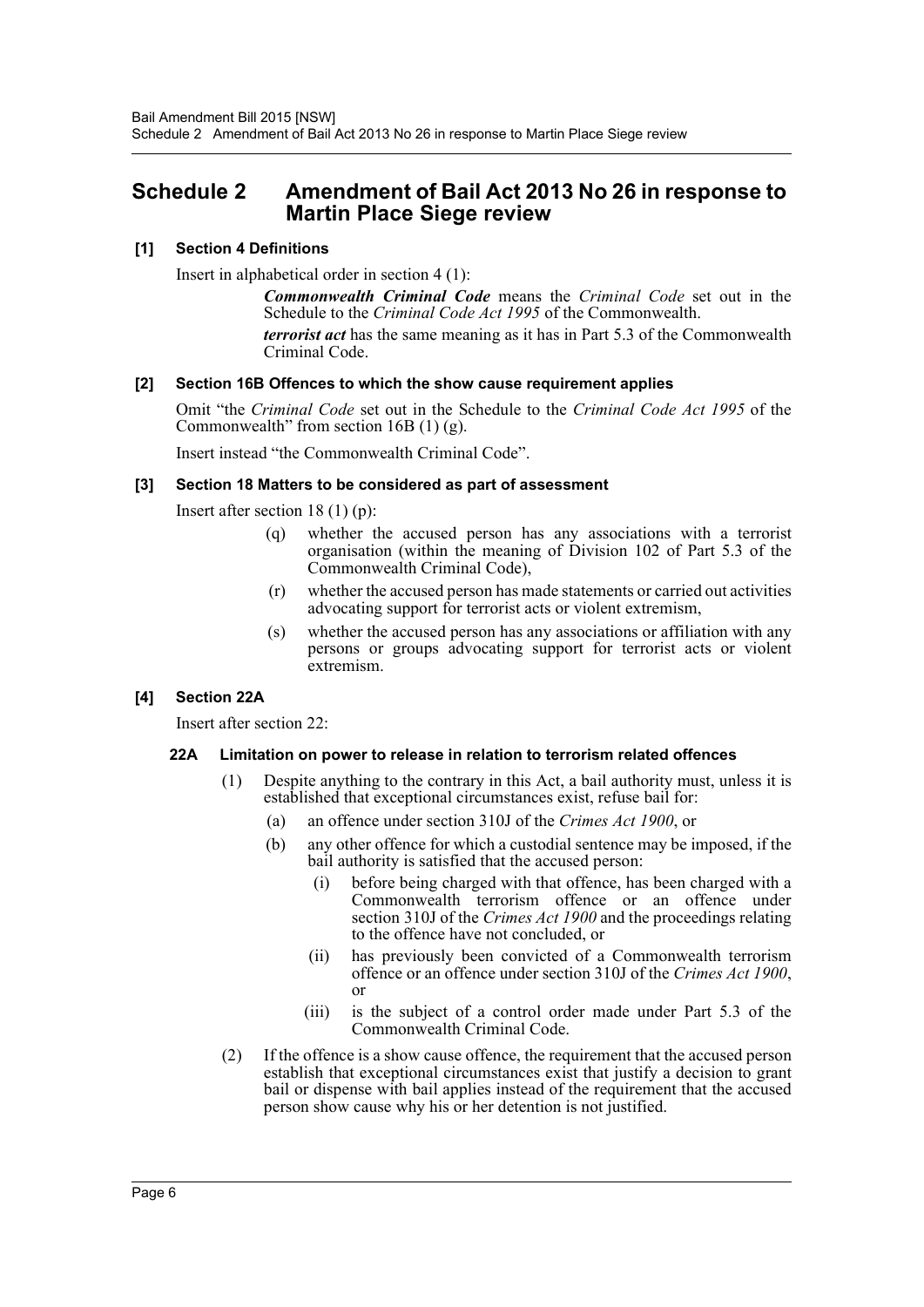## <span id="page-6-0"></span>**Schedule 2 Amendment of Bail Act 2013 No 26 in response to Martin Place Siege review**

#### **[1] Section 4 Definitions**

Insert in alphabetical order in section 4 (1):

*Commonwealth Criminal Code* means the *Criminal Code* set out in the Schedule to the *Criminal Code Act 1995* of the Commonwealth. *terrorist act* has the same meaning as it has in Part 5.3 of the Commonwealth Criminal Code.

#### **[2] Section 16B Offences to which the show cause requirement applies**

Omit "the *Criminal Code* set out in the Schedule to the *Criminal Code Act 1995* of the Commonwealth" from section 16B (1) (g).

Insert instead "the Commonwealth Criminal Code".

#### **[3] Section 18 Matters to be considered as part of assessment**

Insert after section 18 (1) (p):

- (q) whether the accused person has any associations with a terrorist organisation (within the meaning of Division 102 of Part 5.3 of the Commonwealth Criminal Code),
- (r) whether the accused person has made statements or carried out activities advocating support for terrorist acts or violent extremism,
- (s) whether the accused person has any associations or affiliation with any persons or groups advocating support for terrorist acts or violent extremism.

#### **[4] Section 22A**

Insert after section 22:

#### **22A Limitation on power to release in relation to terrorism related offences**

- (1) Despite anything to the contrary in this Act, a bail authority must, unless it is established that exceptional circumstances exist, refuse bail for:
	- (a) an offence under section 310J of the *Crimes Act 1900*, or
	- (b) any other offence for which a custodial sentence may be imposed, if the bail authority is satisfied that the accused person:
		- (i) before being charged with that offence, has been charged with a Commonwealth terrorism offence or an offence under section 310J of the *Crimes Act 1900* and the proceedings relating to the offence have not concluded, or
		- (ii) has previously been convicted of a Commonwealth terrorism offence or an offence under section 310J of the *Crimes Act 1900*, or
		- (iii) is the subject of a control order made under Part 5.3 of the Commonwealth Criminal Code.
- (2) If the offence is a show cause offence, the requirement that the accused person establish that exceptional circumstances exist that justify a decision to grant bail or dispense with bail applies instead of the requirement that the accused person show cause why his or her detention is not justified.